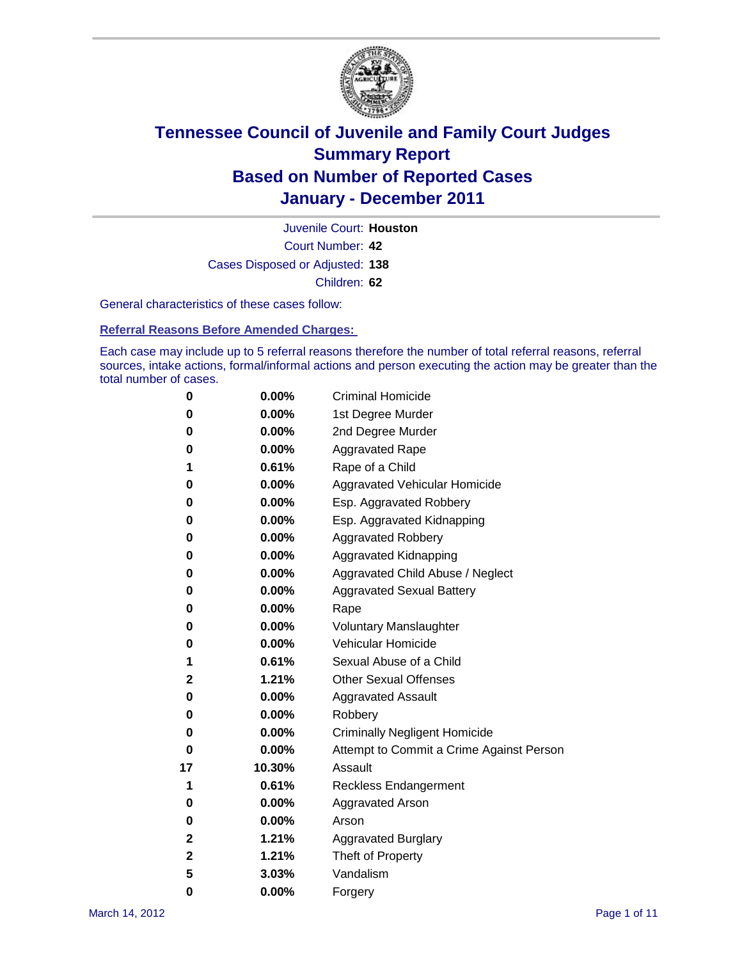

Court Number: **42** Juvenile Court: **Houston** Cases Disposed or Adjusted: **138** Children: **62**

General characteristics of these cases follow:

**Referral Reasons Before Amended Charges:** 

Each case may include up to 5 referral reasons therefore the number of total referral reasons, referral sources, intake actions, formal/informal actions and person executing the action may be greater than the total number of cases.

| 0  | 0.00%  | <b>Criminal Homicide</b>                 |  |  |  |
|----|--------|------------------------------------------|--|--|--|
| 0  | 0.00%  | 1st Degree Murder                        |  |  |  |
| 0  | 0.00%  | 2nd Degree Murder                        |  |  |  |
| 0  | 0.00%  | <b>Aggravated Rape</b>                   |  |  |  |
| 1  | 0.61%  | Rape of a Child                          |  |  |  |
| 0  | 0.00%  | Aggravated Vehicular Homicide            |  |  |  |
| 0  | 0.00%  | Esp. Aggravated Robbery                  |  |  |  |
| 0  | 0.00%  | Esp. Aggravated Kidnapping               |  |  |  |
| 0  | 0.00%  | <b>Aggravated Robbery</b>                |  |  |  |
| 0  | 0.00%  | Aggravated Kidnapping                    |  |  |  |
| 0  | 0.00%  | Aggravated Child Abuse / Neglect         |  |  |  |
| 0  | 0.00%  | <b>Aggravated Sexual Battery</b>         |  |  |  |
| 0  | 0.00%  | Rape                                     |  |  |  |
| 0  | 0.00%  | <b>Voluntary Manslaughter</b>            |  |  |  |
| 0  | 0.00%  | Vehicular Homicide                       |  |  |  |
| 1  | 0.61%  | Sexual Abuse of a Child                  |  |  |  |
| 2  | 1.21%  | <b>Other Sexual Offenses</b>             |  |  |  |
| 0  | 0.00%  | <b>Aggravated Assault</b>                |  |  |  |
| 0  | 0.00%  | Robbery                                  |  |  |  |
| 0  | 0.00%  | <b>Criminally Negligent Homicide</b>     |  |  |  |
| 0  | 0.00%  | Attempt to Commit a Crime Against Person |  |  |  |
| 17 | 10.30% | Assault                                  |  |  |  |
| 1  | 0.61%  | <b>Reckless Endangerment</b>             |  |  |  |
| 0  | 0.00%  | <b>Aggravated Arson</b>                  |  |  |  |
| 0  | 0.00%  | Arson                                    |  |  |  |
| 2  | 1.21%  | <b>Aggravated Burglary</b>               |  |  |  |
| 2  | 1.21%  | Theft of Property                        |  |  |  |
| 5  | 3.03%  | Vandalism                                |  |  |  |
| 0  | 0.00%  | Forgery                                  |  |  |  |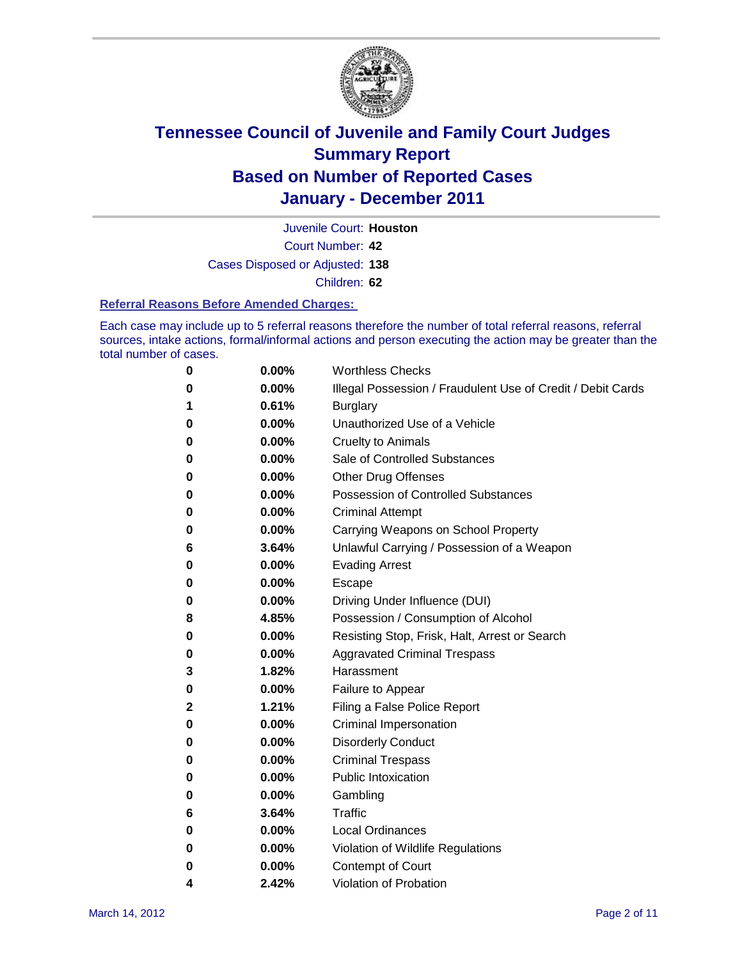

Juvenile Court: **Houston**

Court Number: **42**

Cases Disposed or Adjusted: **138**

Children: **62**

#### **Referral Reasons Before Amended Charges:**

Each case may include up to 5 referral reasons therefore the number of total referral reasons, referral sources, intake actions, formal/informal actions and person executing the action may be greater than the total number of cases.

| 0 | 0.00%    | <b>Worthless Checks</b>                                     |
|---|----------|-------------------------------------------------------------|
| 0 | 0.00%    | Illegal Possession / Fraudulent Use of Credit / Debit Cards |
| 1 | 0.61%    | <b>Burglary</b>                                             |
| 0 | $0.00\%$ | Unauthorized Use of a Vehicle                               |
| 0 | $0.00\%$ | <b>Cruelty to Animals</b>                                   |
| 0 | 0.00%    | Sale of Controlled Substances                               |
| 0 | $0.00\%$ | <b>Other Drug Offenses</b>                                  |
| 0 | 0.00%    | <b>Possession of Controlled Substances</b>                  |
| 0 | $0.00\%$ | <b>Criminal Attempt</b>                                     |
| 0 | 0.00%    | Carrying Weapons on School Property                         |
| 6 | 3.64%    | Unlawful Carrying / Possession of a Weapon                  |
| 0 | 0.00%    | <b>Evading Arrest</b>                                       |
| 0 | $0.00\%$ | Escape                                                      |
| 0 | 0.00%    | Driving Under Influence (DUI)                               |
| 8 | 4.85%    | Possession / Consumption of Alcohol                         |
| 0 | $0.00\%$ | Resisting Stop, Frisk, Halt, Arrest or Search               |
| 0 | $0.00\%$ | <b>Aggravated Criminal Trespass</b>                         |
| 3 | 1.82%    | Harassment                                                  |
| 0 | 0.00%    | Failure to Appear                                           |
| 2 | 1.21%    | Filing a False Police Report                                |
| 0 | 0.00%    | Criminal Impersonation                                      |
| 0 | 0.00%    | <b>Disorderly Conduct</b>                                   |
| 0 | 0.00%    | <b>Criminal Trespass</b>                                    |
| 0 | 0.00%    | <b>Public Intoxication</b>                                  |
| 0 | $0.00\%$ | Gambling                                                    |
| 6 | 3.64%    | Traffic                                                     |
| 0 | $0.00\%$ | <b>Local Ordinances</b>                                     |
| 0 | 0.00%    | Violation of Wildlife Regulations                           |
| 0 | $0.00\%$ | Contempt of Court                                           |
| 4 | 2.42%    | Violation of Probation                                      |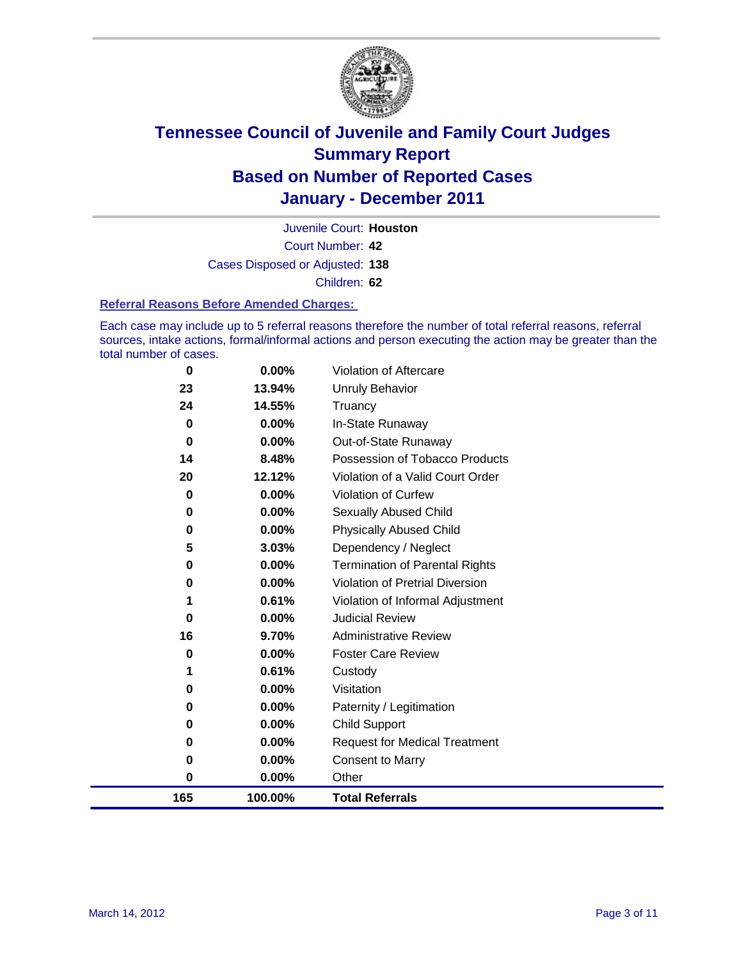

Court Number: **42** Juvenile Court: **Houston** Cases Disposed or Adjusted: **138** Children: **62**

#### **Referral Reasons Before Amended Charges:**

Each case may include up to 5 referral reasons therefore the number of total referral reasons, referral sources, intake actions, formal/informal actions and person executing the action may be greater than the total number of cases.

| 165            | 100.00%            | <b>Total Referrals</b>                 |
|----------------|--------------------|----------------------------------------|
| 0              | $0.00\%$           | Other                                  |
| 0              | 0.00%              | <b>Consent to Marry</b>                |
| 0              | $0.00\%$           | <b>Request for Medical Treatment</b>   |
| 0              | $0.00\%$           | <b>Child Support</b>                   |
| 0              | $0.00\%$           | Paternity / Legitimation               |
| 0              | $0.00\%$           | Visitation                             |
| 1              | 0.61%              | Custody                                |
| 0              | $0.00\%$           | <b>Foster Care Review</b>              |
| 16             | 9.70%              | <b>Administrative Review</b>           |
| 0              | $0.00\%$           | <b>Judicial Review</b>                 |
| 1              | 0.61%              | Violation of Informal Adjustment       |
| 0              | $0.00\%$           | <b>Violation of Pretrial Diversion</b> |
| 0              | $0.00\%$           | <b>Termination of Parental Rights</b>  |
| 5              | 3.03%              | Dependency / Neglect                   |
| $\bf{0}$       | $0.00\%$           | <b>Physically Abused Child</b>         |
| 0              | 0.00%              | <b>Sexually Abused Child</b>           |
| 0              | 0.00%              | Violation of Curfew                    |
| 20             | 12.12%             | Violation of a Valid Court Order       |
| 14             | 8.48%              | Possession of Tobacco Products         |
| $\bf{0}$       | $0.00\%$           | Out-of-State Runaway                   |
| 24<br>$\bf{0}$ | 14.55%<br>$0.00\%$ | Truancy<br>In-State Runaway            |
| 23             | 13.94%             | Unruly Behavior                        |
| $\bf{0}$       | $0.00\%$           | <b>Violation of Aftercare</b>          |
|                |                    |                                        |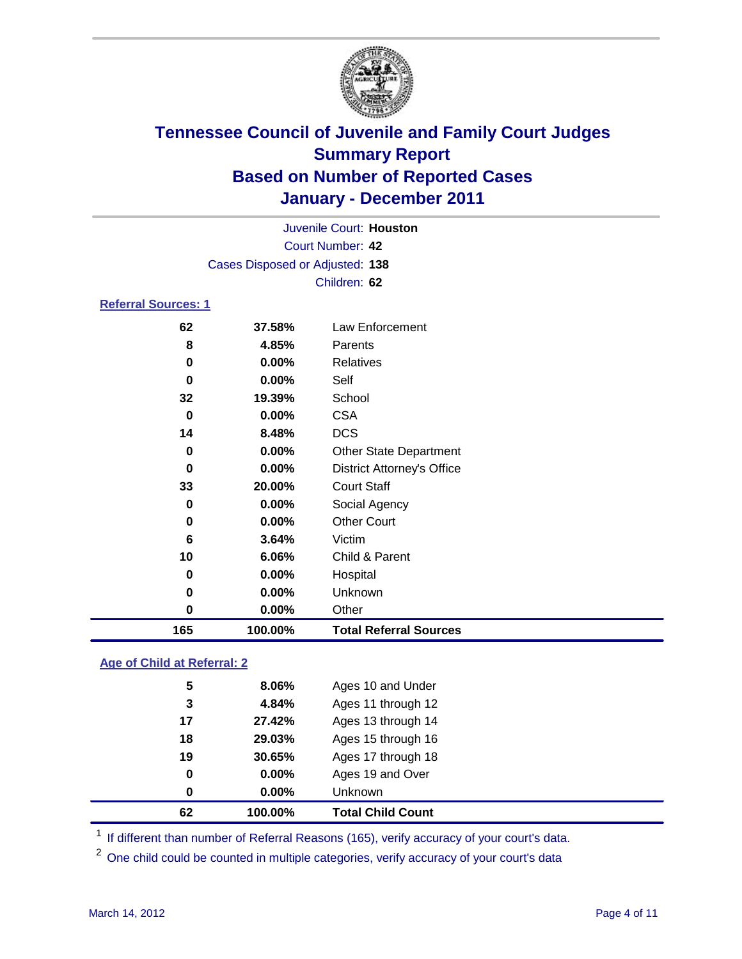

|                            | Juvenile Court: Houston         |                                   |  |  |  |
|----------------------------|---------------------------------|-----------------------------------|--|--|--|
|                            | <b>Court Number: 42</b>         |                                   |  |  |  |
|                            | Cases Disposed or Adjusted: 138 |                                   |  |  |  |
|                            | Children: 62                    |                                   |  |  |  |
| <b>Referral Sources: 1</b> |                                 |                                   |  |  |  |
| 62                         | 37.58%                          | Law Enforcement                   |  |  |  |
| 8                          | 4.85%                           | Parents                           |  |  |  |
| 0                          | 0.00%                           | Relatives                         |  |  |  |
| 0                          | 0.00%                           | Self                              |  |  |  |
| 32                         | 19.39%                          | School                            |  |  |  |
| $\bf{0}$                   | 0.00%                           | <b>CSA</b>                        |  |  |  |
| 14                         | 8.48%                           | <b>DCS</b>                        |  |  |  |
| 0                          | 0.00%                           | <b>Other State Department</b>     |  |  |  |
| 0                          | 0.00%                           | <b>District Attorney's Office</b> |  |  |  |
| 33                         | 20.00%                          | <b>Court Staff</b>                |  |  |  |
| 0                          | 0.00%                           | Social Agency                     |  |  |  |
| $\bf{0}$                   | 0.00%                           | <b>Other Court</b>                |  |  |  |
| 6                          | 3.64%                           | Victim                            |  |  |  |
| 10                         | 6.06%                           | Child & Parent                    |  |  |  |
| 0                          | 0.00%                           | Hospital                          |  |  |  |
| 0                          | 0.00%                           | Unknown                           |  |  |  |
| $\bf{0}$                   | 0.00%                           | Other                             |  |  |  |
| 165                        | 100.00%                         | <b>Total Referral Sources</b>     |  |  |  |

### **Age of Child at Referral: 2**

| <b>Total Child Count</b> | 100.00% | 62 |
|--------------------------|---------|----|
| <b>Unknown</b>           | 0.00%   | 0  |
| Ages 19 and Over         | 0.00%   | 0  |
| Ages 17 through 18       | 30.65%  | 19 |
| Ages 15 through 16       | 29.03%  | 18 |
| Ages 13 through 14       | 27.42%  | 17 |
| Ages 11 through 12       | 4.84%   | 3  |
| Ages 10 and Under        | 8.06%   | 5  |
|                          |         |    |

<sup>1</sup> If different than number of Referral Reasons (165), verify accuracy of your court's data.

<sup>2</sup> One child could be counted in multiple categories, verify accuracy of your court's data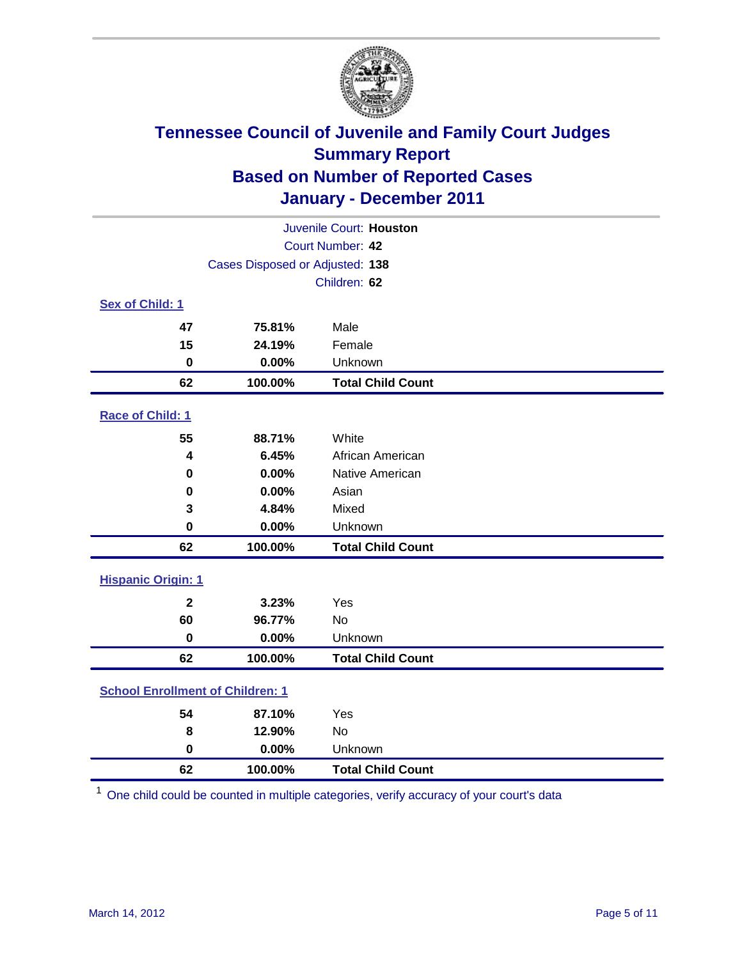

| Juvenile Court: Houston                 |                                 |                          |  |  |
|-----------------------------------------|---------------------------------|--------------------------|--|--|
| Court Number: 42                        |                                 |                          |  |  |
|                                         | Cases Disposed or Adjusted: 138 |                          |  |  |
|                                         |                                 | Children: 62             |  |  |
| Sex of Child: 1                         |                                 |                          |  |  |
| 47                                      | 75.81%                          | Male                     |  |  |
| 15                                      | 24.19%                          | Female                   |  |  |
| $\mathbf 0$                             | 0.00%                           | Unknown                  |  |  |
| 62                                      | 100.00%                         | <b>Total Child Count</b> |  |  |
| Race of Child: 1                        |                                 |                          |  |  |
| 55                                      | 88.71%                          | White                    |  |  |
| 4                                       | 6.45%                           | African American         |  |  |
| 0                                       | 0.00%                           | Native American          |  |  |
| 0                                       | 0.00%                           | Asian                    |  |  |
| 3                                       | 4.84%                           | Mixed                    |  |  |
| $\mathbf 0$                             | 0.00%                           | Unknown                  |  |  |
| 62                                      | 100.00%                         | <b>Total Child Count</b> |  |  |
| <b>Hispanic Origin: 1</b>               |                                 |                          |  |  |
| $\mathbf{2}$                            | 3.23%                           | Yes                      |  |  |
| 60                                      | 96.77%                          | <b>No</b>                |  |  |
| $\bf{0}$                                | 0.00%                           | Unknown                  |  |  |
| 62                                      | 100.00%                         | <b>Total Child Count</b> |  |  |
| <b>School Enrollment of Children: 1</b> |                                 |                          |  |  |
| 54                                      | 87.10%                          | Yes                      |  |  |
| 8                                       | 12.90%                          | No                       |  |  |
| $\mathbf 0$                             | 0.00%                           | Unknown                  |  |  |
| 62                                      | 100.00%                         | <b>Total Child Count</b> |  |  |

One child could be counted in multiple categories, verify accuracy of your court's data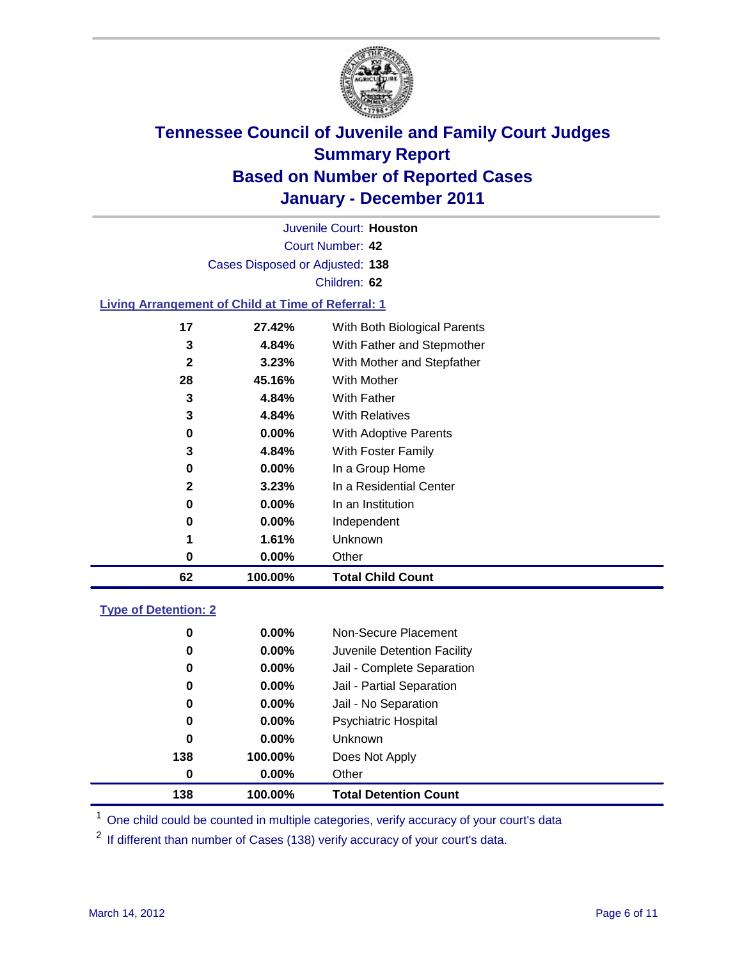

Court Number: **42** Juvenile Court: **Houston** Cases Disposed or Adjusted: **138** Children: **62 Living Arrangement of Child at Time of Referral: 1 27.42%** With Both Biological Parents **4.84%** With Father and Stepmother **3.23%** With Mother and Stepfather **45.16%** With Mother

| 62           | 100.00%  | <b>Total Child Count</b>     |
|--------------|----------|------------------------------|
| 0            | $0.00\%$ | Other                        |
| 1            | 1.61%    | <b>Unknown</b>               |
| 0            | $0.00\%$ | Independent                  |
| 0            | $0.00\%$ | In an Institution            |
| $\mathbf{2}$ | 3.23%    | In a Residential Center      |
| 0            | $0.00\%$ | In a Group Home              |
| 3            | 4.84%    | With Foster Family           |
| 0            | $0.00\%$ | <b>With Adoptive Parents</b> |
| 3            | 4.84%    | <b>With Relatives</b>        |
| 3            | 4.84%    | With Father                  |

### **Type of Detention: 2**

| 138 | 100.00%  | <b>Total Detention Count</b> |  |
|-----|----------|------------------------------|--|
| 0   | $0.00\%$ | Other                        |  |
| 138 | 100.00%  | Does Not Apply               |  |
| 0   | $0.00\%$ | <b>Unknown</b>               |  |
| 0   | $0.00\%$ | Psychiatric Hospital         |  |
| 0   | 0.00%    | Jail - No Separation         |  |
| 0   | $0.00\%$ | Jail - Partial Separation    |  |
| 0   | $0.00\%$ | Jail - Complete Separation   |  |
| 0   | 0.00%    | Juvenile Detention Facility  |  |
| 0   | $0.00\%$ | Non-Secure Placement         |  |
|     |          |                              |  |

<sup>1</sup> One child could be counted in multiple categories, verify accuracy of your court's data

<sup>2</sup> If different than number of Cases (138) verify accuracy of your court's data.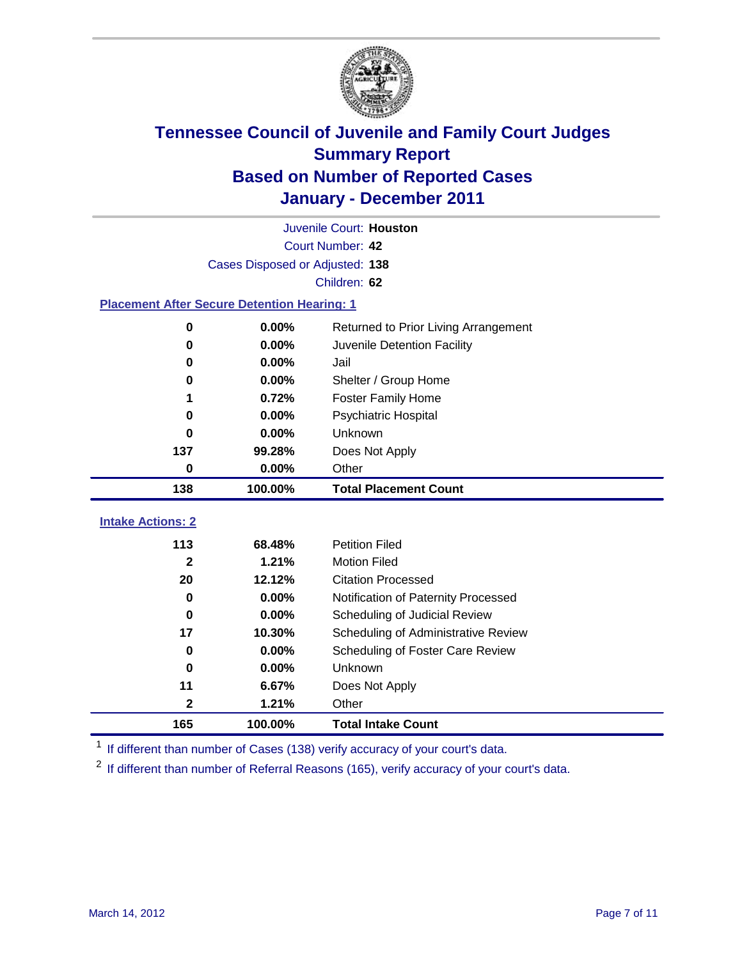

| Juvenile Court: Houston                            |                         |                                      |  |  |  |
|----------------------------------------------------|-------------------------|--------------------------------------|--|--|--|
|                                                    | <b>Court Number: 42</b> |                                      |  |  |  |
| Cases Disposed or Adjusted: 138                    |                         |                                      |  |  |  |
|                                                    | Children: 62            |                                      |  |  |  |
| <b>Placement After Secure Detention Hearing: 1</b> |                         |                                      |  |  |  |
| $\mathbf 0$                                        | 0.00%                   | Returned to Prior Living Arrangement |  |  |  |
| $\bf{0}$                                           | 0.00%                   | Juvenile Detention Facility          |  |  |  |
| $\bf{0}$                                           | 0.00%                   | Jail                                 |  |  |  |
| 0                                                  | 0.00%                   | Shelter / Group Home                 |  |  |  |
| 1                                                  | 0.72%                   | <b>Foster Family Home</b>            |  |  |  |
| 0                                                  | 0.00%                   | Psychiatric Hospital                 |  |  |  |
| 0                                                  | 0.00%                   | Unknown                              |  |  |  |
| 137                                                | 99.28%                  | Does Not Apply                       |  |  |  |
| $\mathbf 0$                                        | 0.00%                   | Other                                |  |  |  |
| 138                                                | 100.00%                 | <b>Total Placement Count</b>         |  |  |  |
|                                                    |                         |                                      |  |  |  |
|                                                    |                         |                                      |  |  |  |
| <b>Intake Actions: 2</b><br>113                    | 68.48%                  | <b>Petition Filed</b>                |  |  |  |
| $\mathbf{2}$                                       | 1.21%                   | <b>Motion Filed</b>                  |  |  |  |
| 20                                                 | 12.12%                  | <b>Citation Processed</b>            |  |  |  |
| $\bf{0}$                                           | 0.00%                   | Notification of Paternity Processed  |  |  |  |
| $\mathbf 0$                                        | 0.00%                   | Scheduling of Judicial Review        |  |  |  |
| 17                                                 | 10.30%                  | Scheduling of Administrative Review  |  |  |  |
| 0                                                  | $0.00\%$                | Scheduling of Foster Care Review     |  |  |  |
| $\bf{0}$                                           | 0.00%                   | Unknown                              |  |  |  |
| 11                                                 | 6.67%                   | Does Not Apply                       |  |  |  |
| $\mathbf{2}$                                       | 1.21%                   | Other                                |  |  |  |

<sup>1</sup> If different than number of Cases (138) verify accuracy of your court's data.

<sup>2</sup> If different than number of Referral Reasons (165), verify accuracy of your court's data.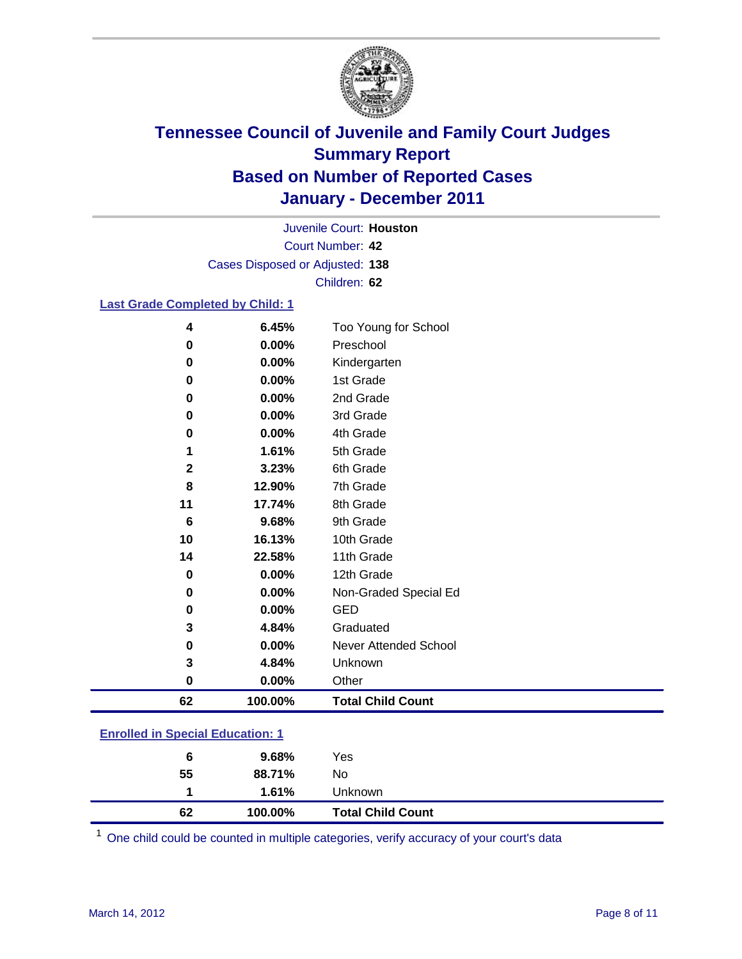

Court Number: **42** Juvenile Court: **Houston** Cases Disposed or Adjusted: **138** Children: **62**

#### **Last Grade Completed by Child: 1**

| 62     | 100.00%        | <b>Total Child Count</b>          |  |
|--------|----------------|-----------------------------------|--|
| 0      | 0.00%          | Other                             |  |
| 3      | 4.84%          | Unknown                           |  |
| 0      | 0.00%          | Never Attended School             |  |
| 3      | 4.84%          | Graduated                         |  |
| 0      | 0.00%          | <b>GED</b>                        |  |
| 0      | 0.00%          | Non-Graded Special Ed             |  |
| 0      | $0.00\%$       | 12th Grade                        |  |
| 14     | 22.58%         | 11th Grade                        |  |
| 10     | 16.13%         | 10th Grade                        |  |
| 6      | 9.68%          | 9th Grade                         |  |
| 11     | 17.74%         | 8th Grade                         |  |
| 8      | 12.90%         | 7th Grade                         |  |
| 2      | 3.23%          | 6th Grade                         |  |
| 1      | 1.61%          | 5th Grade                         |  |
| 0      | 0.00%          | 4th Grade                         |  |
| 0      | 0.00%          | 3rd Grade                         |  |
| 0      | 0.00%          | 2nd Grade                         |  |
| 0      | 0.00%          | 1st Grade                         |  |
| 0      | 0.00%          | Kindergarten                      |  |
| 4<br>0 | 6.45%<br>0.00% | Too Young for School<br>Preschool |  |

### **Enrolled in Special Education: 1**

| 62 | 100.00%  | <b>Total Child Count</b> |
|----|----------|--------------------------|
|    | 1.61%    | <b>Unknown</b>           |
| 55 | 88.71%   | No.                      |
| 6  | $9.68\%$ | Yes                      |
|    |          |                          |

One child could be counted in multiple categories, verify accuracy of your court's data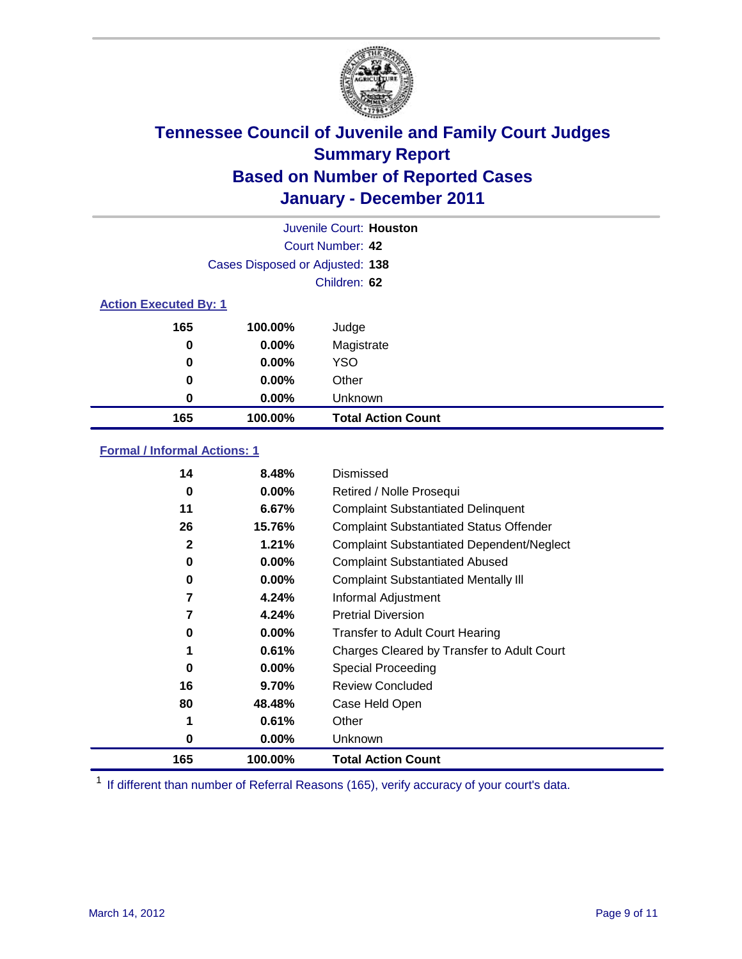

|                              |                                 | Juvenile Court: Houston   |
|------------------------------|---------------------------------|---------------------------|
|                              |                                 | Court Number: 42          |
|                              | Cases Disposed or Adjusted: 138 |                           |
|                              |                                 | Children: 62              |
| <b>Action Executed By: 1</b> |                                 |                           |
| 165                          | 100.00%                         | Judge                     |
| 0                            | $0.00\%$                        | Magistrate                |
| $\bf{0}$                     | 0.00%                           | <b>YSO</b>                |
| 0                            | $0.00\%$                        | Other                     |
| 0                            | 0.00%                           | Unknown                   |
| 165                          | 100.00%                         | <b>Total Action Count</b> |

### **Formal / Informal Actions: 1**

| 14           | 8.48%    | Dismissed                                        |
|--------------|----------|--------------------------------------------------|
| 0            | $0.00\%$ | Retired / Nolle Prosequi                         |
| 11           | 6.67%    | <b>Complaint Substantiated Delinquent</b>        |
| 26           | 15.76%   | <b>Complaint Substantiated Status Offender</b>   |
| $\mathbf{2}$ | 1.21%    | <b>Complaint Substantiated Dependent/Neglect</b> |
| 0            | $0.00\%$ | <b>Complaint Substantiated Abused</b>            |
| 0            | $0.00\%$ | <b>Complaint Substantiated Mentally III</b>      |
| 7            | 4.24%    | Informal Adjustment                              |
| 7            | 4.24%    | <b>Pretrial Diversion</b>                        |
| 0            | $0.00\%$ | <b>Transfer to Adult Court Hearing</b>           |
| 1            | 0.61%    | Charges Cleared by Transfer to Adult Court       |
| 0            | $0.00\%$ | Special Proceeding                               |
| 16           | 9.70%    | <b>Review Concluded</b>                          |
| 80           | 48.48%   | Case Held Open                                   |
| 1            | 0.61%    | Other                                            |
| 0            | $0.00\%$ | Unknown                                          |
| 165          | 100.00%  | <b>Total Action Count</b>                        |

<sup>1</sup> If different than number of Referral Reasons (165), verify accuracy of your court's data.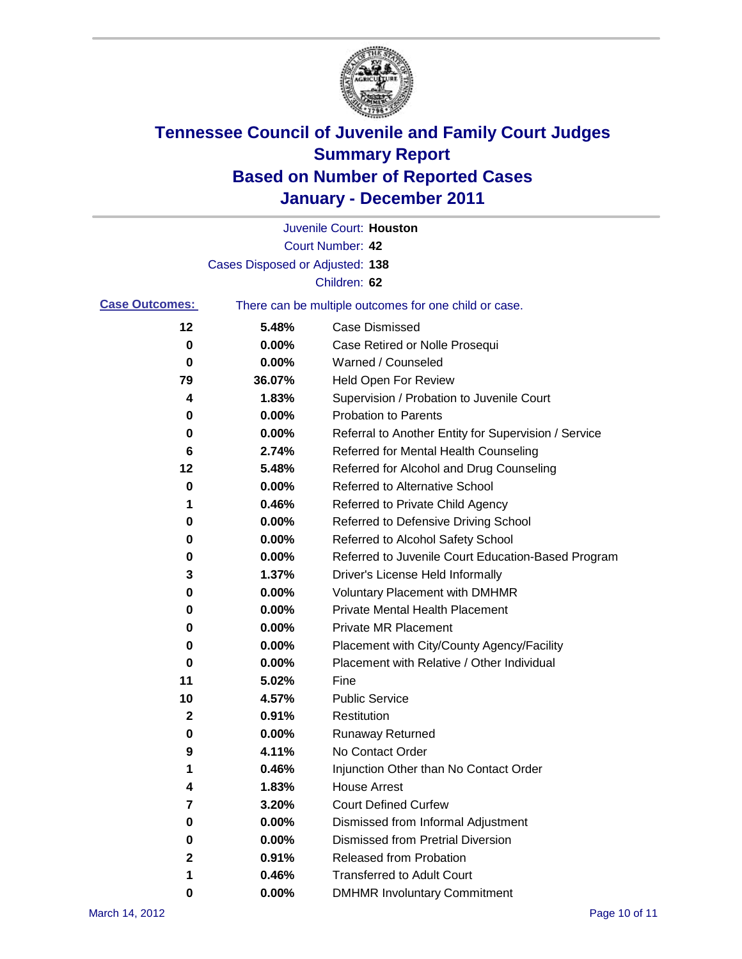

|                       |                                 | Juvenile Court: Houston                               |
|-----------------------|---------------------------------|-------------------------------------------------------|
|                       |                                 | Court Number: 42                                      |
|                       | Cases Disposed or Adjusted: 138 |                                                       |
|                       |                                 | Children: 62                                          |
| <b>Case Outcomes:</b> |                                 | There can be multiple outcomes for one child or case. |
| 12                    | 5.48%                           | <b>Case Dismissed</b>                                 |
| 0                     | 0.00%                           | Case Retired or Nolle Prosequi                        |
| 0                     | 0.00%                           | Warned / Counseled                                    |
| 79                    | 36.07%                          | <b>Held Open For Review</b>                           |
| 4                     | 1.83%                           | Supervision / Probation to Juvenile Court             |
| 0                     | 0.00%                           | <b>Probation to Parents</b>                           |
| 0                     | 0.00%                           | Referral to Another Entity for Supervision / Service  |
| 6                     | 2.74%                           | Referred for Mental Health Counseling                 |
| 12                    | 5.48%                           | Referred for Alcohol and Drug Counseling              |
| 0                     | 0.00%                           | <b>Referred to Alternative School</b>                 |
| 1                     | 0.46%                           | Referred to Private Child Agency                      |
| 0                     | 0.00%                           | Referred to Defensive Driving School                  |
| 0                     | 0.00%                           | Referred to Alcohol Safety School                     |
| 0                     | 0.00%                           | Referred to Juvenile Court Education-Based Program    |
| 3                     | 1.37%                           | Driver's License Held Informally                      |
| 0                     | 0.00%                           | <b>Voluntary Placement with DMHMR</b>                 |
| 0                     | 0.00%                           | <b>Private Mental Health Placement</b>                |
| 0                     | 0.00%                           | <b>Private MR Placement</b>                           |
| 0                     | 0.00%                           | Placement with City/County Agency/Facility            |
| 0                     | 0.00%                           | Placement with Relative / Other Individual            |
| 11                    | 5.02%                           | Fine                                                  |
| 10                    | 4.57%                           | <b>Public Service</b>                                 |
| 2                     | 0.91%                           | Restitution                                           |
| 0                     | 0.00%                           | Runaway Returned                                      |
| 9                     | 4.11%                           | No Contact Order                                      |
| 1                     | 0.46%                           | Injunction Other than No Contact Order                |
| 4                     | 1.83%                           | <b>House Arrest</b>                                   |
| 7                     | 3.20%                           | <b>Court Defined Curfew</b>                           |
| 0                     | 0.00%                           | Dismissed from Informal Adjustment                    |
| 0                     | 0.00%                           | <b>Dismissed from Pretrial Diversion</b>              |
| 2                     | 0.91%                           | Released from Probation                               |
| 1                     | 0.46%                           | <b>Transferred to Adult Court</b>                     |
| 0                     | $0.00\%$                        | <b>DMHMR Involuntary Commitment</b>                   |